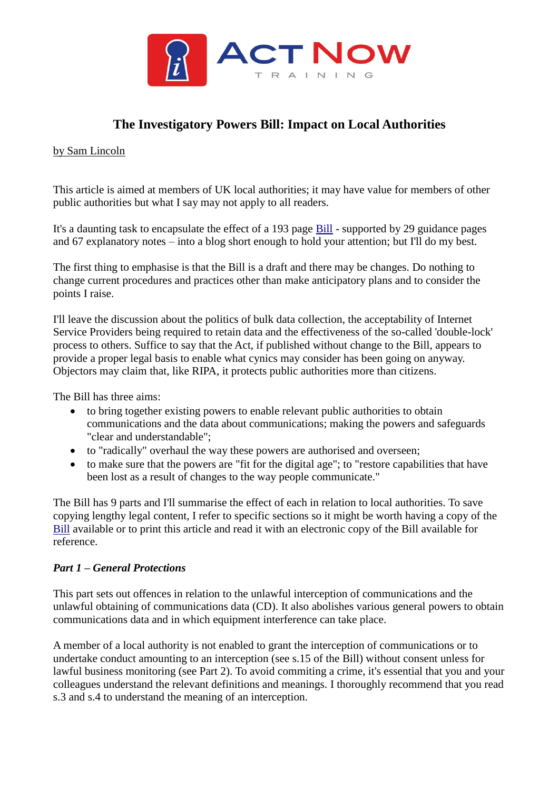

# **The Investigatory Powers Bill: Impact on Local Authorities**

#### by Sam Lincoln

This article is aimed at members of UK local authorities; it may have value for members of other public authorities but what I say may not apply to all readers.

It's a daunting task to encapsulate the effect of a 193 page [Bill](https://www.gov.uk/government/uploads/system/uploads/attachment_data/file/473770/Draft_Investigatory_Powers_Bill.pdf) - supported by 29 guidance pages and 67 explanatory notes – into a blog short enough to hold your attention; but I'll do my best.

The first thing to emphasise is that the Bill is a draft and there may be changes. Do nothing to change current procedures and practices other than make anticipatory plans and to consider the points I raise.

I'll leave the discussion about the politics of bulk data collection, the acceptability of Internet Service Providers being required to retain data and the effectiveness of the so-called 'double-lock' process to others. Suffice to say that the Act, if published without change to the Bill, appears to provide a proper legal basis to enable what cynics may consider has been going on anyway. Objectors may claim that, like RIPA, it protects public authorities more than citizens.

The Bill has three aims:

- to bring together existing powers to enable relevant public authorities to obtain communications and the data about communications; making the powers and safeguards "clear and understandable";
- to "radically" overhaul the way these powers are authorised and overseen;
- to make sure that the powers are "fit for the digital age"; to "restore capabilities that have been lost as a result of changes to the way people communicate."

The Bill has 9 parts and I'll summarise the effect of each in relation to local authorities. To save copying lengthy legal content, I refer to specific sections so it might be worth having a copy of the [Bill](https://www.gov.uk/government/uploads/system/uploads/attachment_data/file/473770/Draft_Investigatory_Powers_Bill.pdf) available or to print this article and read it with an electronic copy of the Bill available for reference.

# *Part 1 – General Protections*

This part sets out offences in relation to the unlawful interception of communications and the unlawful obtaining of communications data (CD). It also abolishes various general powers to obtain communications data and in which equipment interference can take place.

A member of a local authority is not enabled to grant the interception of communications or to undertake conduct amounting to an interception (see s.15 of the Bill) without consent unless for lawful business monitoring (see Part 2). To avoid commiting a crime, it's essential that you and your colleagues understand the relevant definitions and meanings. I thoroughly recommend that you read s.3 and s.4 to understand the meaning of an interception.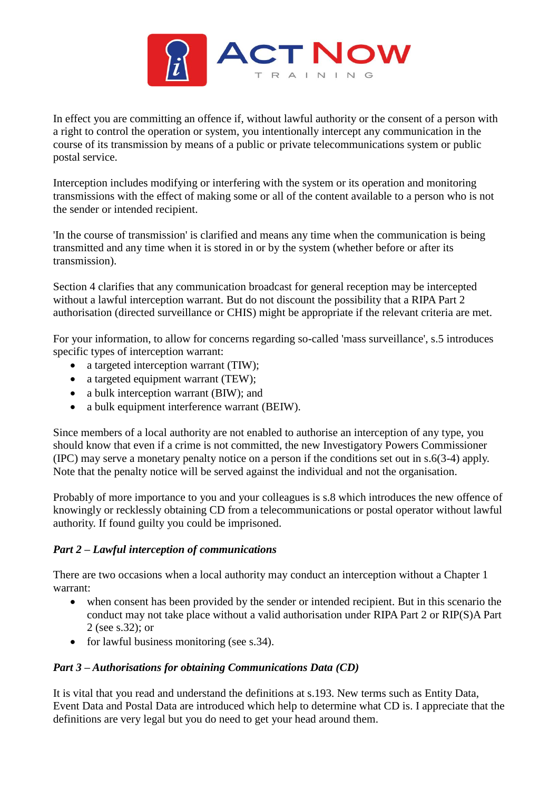

In effect you are committing an offence if, without lawful authority or the consent of a person with a right to control the operation or system, you intentionally intercept any communication in the course of its transmission by means of a public or private telecommunications system or public postal service.

Interception includes modifying or interfering with the system or its operation and monitoring transmissions with the effect of making some or all of the content available to a person who is not the sender or intended recipient.

'In the course of transmission' is clarified and means any time when the communication is being transmitted and any time when it is stored in or by the system (whether before or after its transmission).

Section 4 clarifies that any communication broadcast for general reception may be intercepted without a lawful interception warrant. But do not discount the possibility that a RIPA Part 2 authorisation (directed surveillance or CHIS) might be appropriate if the relevant criteria are met.

For your information, to allow for concerns regarding so-called 'mass surveillance', s.5 introduces specific types of interception warrant:

- a targeted interception warrant (TIW);
- a targeted equipment warrant (TEW);
- a bulk interception warrant (BIW); and
- a bulk equipment interference warrant (BEIW).

Since members of a local authority are not enabled to authorise an interception of any type, you should know that even if a crime is not committed, the new Investigatory Powers Commissioner (IPC) may serve a monetary penalty notice on a person if the conditions set out in s.6(3-4) apply. Note that the penalty notice will be served against the individual and not the organisation.

Probably of more importance to you and your colleagues is s.8 which introduces the new offence of knowingly or recklessly obtaining CD from a telecommunications or postal operator without lawful authority. If found guilty you could be imprisoned.

# *Part 2 – Lawful interception of communications*

There are two occasions when a local authority may conduct an interception without a Chapter 1 warrant:

- when consent has been provided by the sender or intended recipient. But in this scenario the conduct may not take place without a valid authorisation under RIPA Part 2 or RIP(S)A Part 2 (see s.32); or
- for lawful business monitoring (see s.34).

# *Part 3 – Authorisations for obtaining Communications Data (CD)*

It is vital that you read and understand the definitions at s.193. New terms such as Entity Data, Event Data and Postal Data are introduced which help to determine what CD is. I appreciate that the definitions are very legal but you do need to get your head around them.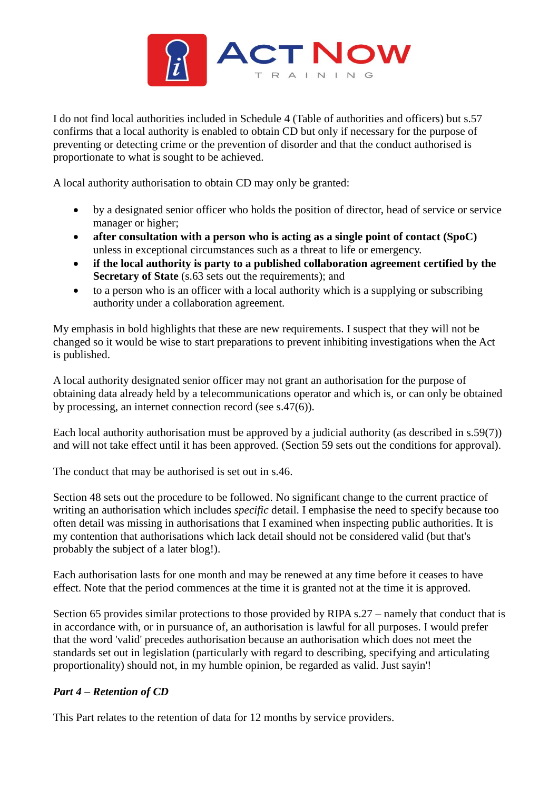

I do not find local authorities included in Schedule 4 (Table of authorities and officers) but s.57 confirms that a local authority is enabled to obtain CD but only if necessary for the purpose of preventing or detecting crime or the prevention of disorder and that the conduct authorised is proportionate to what is sought to be achieved.

A local authority authorisation to obtain CD may only be granted:

- by a designated senior officer who holds the position of director, head of service or service manager or higher;
- **after consultation with a person who is acting as a single point of contact (SpoC)** unless in exceptional circumstances such as a threat to life or emergency.
- **if the local authority is party to a published collaboration agreement certified by the Secretary of State** (s.63 sets out the requirements); and
- to a person who is an officer with a local authority which is a supplying or subscribing authority under a collaboration agreement.

My emphasis in bold highlights that these are new requirements. I suspect that they will not be changed so it would be wise to start preparations to prevent inhibiting investigations when the Act is published.

A local authority designated senior officer may not grant an authorisation for the purpose of obtaining data already held by a telecommunications operator and which is, or can only be obtained by processing, an internet connection record (see s.47(6)).

Each local authority authorisation must be approved by a judicial authority (as described in s.59(7)) and will not take effect until it has been approved. (Section 59 sets out the conditions for approval).

The conduct that may be authorised is set out in s.46.

Section 48 sets out the procedure to be followed. No significant change to the current practice of writing an authorisation which includes *specific* detail. I emphasise the need to specify because too often detail was missing in authorisations that I examined when inspecting public authorities. It is my contention that authorisations which lack detail should not be considered valid (but that's probably the subject of a later blog!).

Each authorisation lasts for one month and may be renewed at any time before it ceases to have effect. Note that the period commences at the time it is granted not at the time it is approved.

Section 65 provides similar protections to those provided by RIPA s.27 – namely that conduct that is in accordance with, or in pursuance of, an authorisation is lawful for all purposes. I would prefer that the word 'valid' precedes authorisation because an authorisation which does not meet the standards set out in legislation (particularly with regard to describing, specifying and articulating proportionality) should not, in my humble opinion, be regarded as valid. Just sayin'!

# *Part 4 – Retention of CD*

This Part relates to the retention of data for 12 months by service providers.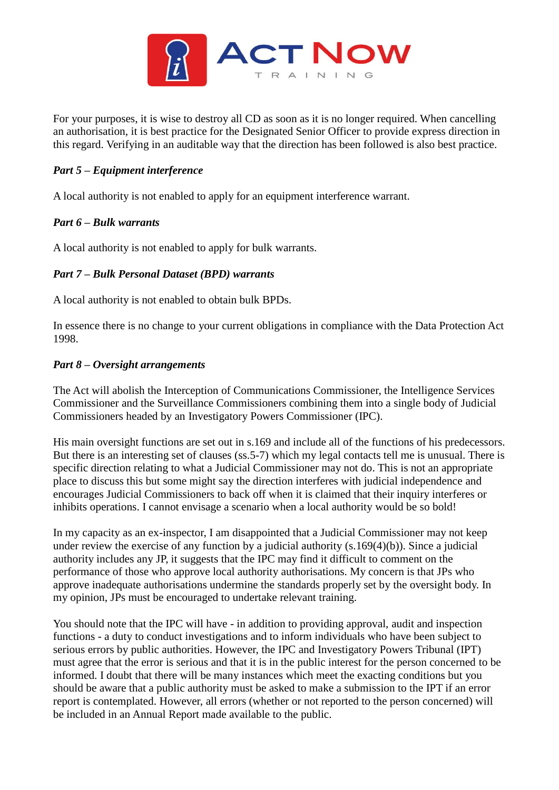

For your purposes, it is wise to destroy all CD as soon as it is no longer required. When cancelling an authorisation, it is best practice for the Designated Senior Officer to provide express direction in this regard. Verifying in an auditable way that the direction has been followed is also best practice.

# *Part 5 – Equipment interference*

A local authority is not enabled to apply for an equipment interference warrant.

# *Part 6 – Bulk warrants*

A local authority is not enabled to apply for bulk warrants.

# *Part 7 – Bulk Personal Dataset (BPD) warrants*

A local authority is not enabled to obtain bulk BPDs.

In essence there is no change to your current obligations in compliance with the Data Protection Act 1998.

#### *Part 8 – Oversight arrangements*

The Act will abolish the Interception of Communications Commissioner, the Intelligence Services Commissioner and the Surveillance Commissioners combining them into a single body of Judicial Commissioners headed by an Investigatory Powers Commissioner (IPC).

His main oversight functions are set out in s.169 and include all of the functions of his predecessors. But there is an interesting set of clauses (ss.5-7) which my legal contacts tell me is unusual. There is specific direction relating to what a Judicial Commissioner may not do. This is not an appropriate place to discuss this but some might say the direction interferes with judicial independence and encourages Judicial Commissioners to back off when it is claimed that their inquiry interferes or inhibits operations. I cannot envisage a scenario when a local authority would be so bold!

In my capacity as an ex-inspector, I am disappointed that a Judicial Commissioner may not keep under review the exercise of any function by a judicial authority (s.169(4)(b)). Since a judicial authority includes any JP, it suggests that the IPC may find it difficult to comment on the performance of those who approve local authority authorisations. My concern is that JPs who approve inadequate authorisations undermine the standards properly set by the oversight body. In my opinion, JPs must be encouraged to undertake relevant training.

You should note that the IPC will have - in addition to providing approval, audit and inspection functions - a duty to conduct investigations and to inform individuals who have been subject to serious errors by public authorities. However, the IPC and Investigatory Powers Tribunal (IPT) must agree that the error is serious and that it is in the public interest for the person concerned to be informed. I doubt that there will be many instances which meet the exacting conditions but you should be aware that a public authority must be asked to make a submission to the IPT if an error report is contemplated. However, all errors (whether or not reported to the person concerned) will be included in an Annual Report made available to the public.